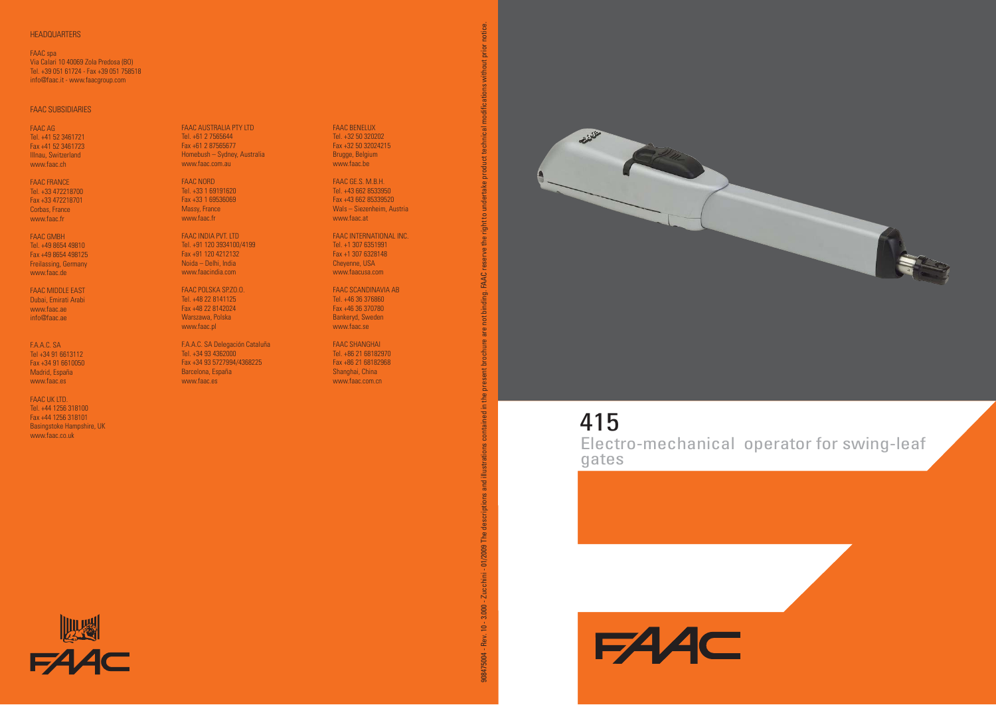#### **HEADQUARTERS**

FAAC spa Via Calari 10 40069 Zola Predosa (BO) Tel. +39 051 61724 - Fax +39 051 758518 info@faac.it - www.faacgroup.com

## FAAC SUBSIDIARIES

FAAC AG Tel. +41 52 3461721 Fax +41 52 3461723 Illnau, Switzerland www.faac.ch

FAAC FRANCE Tel. +33 472218700 Fax +33 472218701 Corbas, France www.faac.fr

FAAC GMBH Tel. +49 8654 49810 Fax +49 8654 498125 Freilassing, Germany www.faac.de

FAAC MIDDLE EAST Dubai, Emirati Arabi www.faac.aeinfo@faac.ae

F.A.A.C. SA Tel +34 91 6613112 Fax +34 91 6610050 Madrid, España www.faac.es

FAAC UK LTD. Tel. +44 1256 318100 Fax +44 1256 318101 Basingstoke Hampshire, UK www.faac.co.uk

信道

 $EAC$ 

FAAC AUSTRALIA PTY LTD Tel. +61 2 7565644 Fax +61 2 87565677 Homebush – Sydney, Australia www.faac.com.au

FAAC NORD Tel. +33 1 69191620 Fax +33 1 69536069Massy, France www.faac.fr

FAAC INDIA PVT. LTD Tel. +91 120 3934100/4199 Fax +91 120 4212132 Noida – Delhi, India www.faacindia.com

FAAC POLSKA SP.ZO.O. Tel. +48 22 8141125Fax +48 22 8142024 Warszawa, Polska www.faac.pl

F.A.A.C. SA Delegación Cataluña Tel. +34 93 4362000 Fax +34 93 5727994/4368225 Barcelona, España www.faac.es

FAAC BENELUX Tel. +32 50 320202 Fax +32 50 32024215 Brugge, Belgium www.faac.be

FAAC GE.S. M.B.H. Tel. +43 662 8533950 Fax +43 662 85339520Wals – Siezenheim, Austria www.faac.at

FAAC INTERNATIONAL INC.Tel. +1 307 6351991 Fax +1 307 6328148 Cheyenne, USA www.faacusa.com

FAAC SCANDINAVIA AB Tel. +46 36 376860Fax +46 36 370780 Bankeryd, Sweden www.faac.se

FAAC SHANGHAI Tel. +86 21 68182970 Fax +86 21 68182968 Shanghai, China www.faac.com.cn



# 415

**FAAC** 

0004-7Rev. 10 - 2.000 - Zucchini - 01/2009 The descriptions and illustrations contained in the present brochure are not binding. FAAC reserve the right to undertake product technical modifications without prior notice.

01/2009 The

Zucchini -

 $3.000 - 7$ 

08475004 - Rev. 10 -

FAAC<sub>r</sub>  $\vec{a}$ 

notice.

Electro-mechanical operator for swing-leaf gates